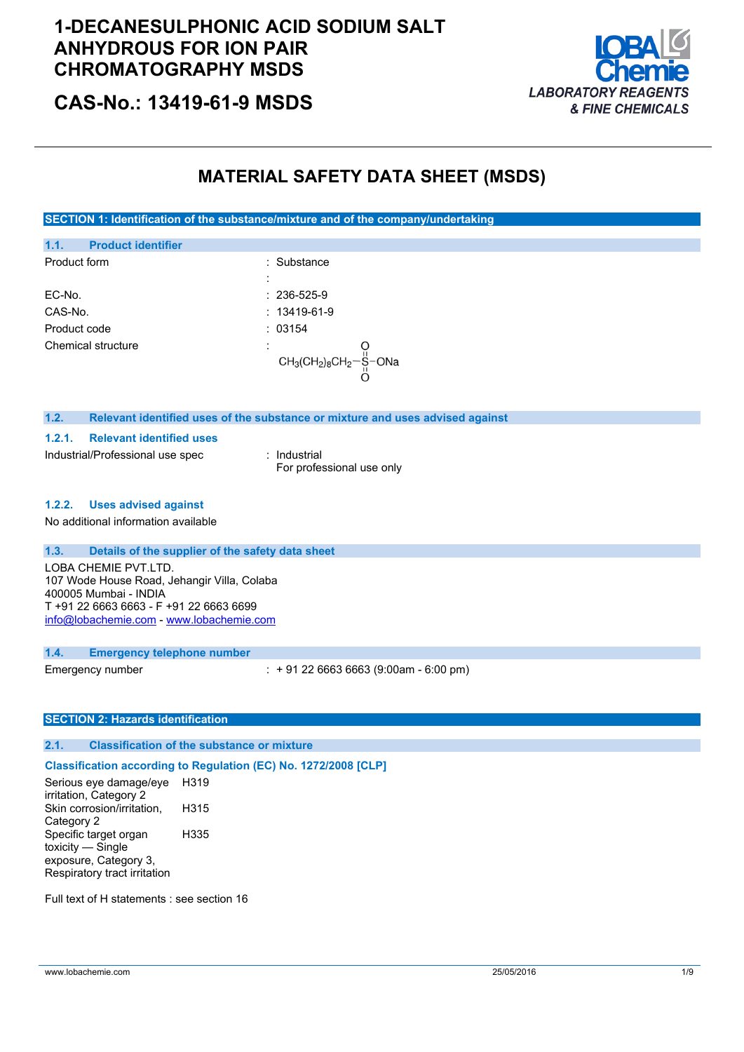### **1-DECANESULPHONIC ACID SODIUM SALT ANHYDROUS FOR ION PAIR CHROMATOGRAPHY MSDS**



**CAS-No.: 13419-61-9 MSDS**

### **MATERIAL SAFETY DATA SHEET (MSDS)**

**SECTION 1: Identification of the substance/mixture and of the company/undertaking**

| 1.1.               | <b>Product identifier</b> |                                      |  |
|--------------------|---------------------------|--------------------------------------|--|
| Product form       |                           | : Substance                          |  |
|                    |                           |                                      |  |
| EC-No.             |                           | $: 236 - 525 - 9$                    |  |
| CAS-No.            |                           | $: 13419 - 61 - 9$                   |  |
| Product code       |                           | : 03154                              |  |
| Chemical structure |                           | $\blacksquare$                       |  |
|                    |                           | $CH_3CH_2)_8CH_2-\frac{11}{11}$ -ONa |  |
|                    |                           |                                      |  |

#### **1.2. Relevant identified uses of the substance or mixture and uses advised against**

**1.2.1. Relevant identified uses**

Industrial/Professional use spec : Industrial

For professional use only

#### **1.2.2. Uses advised against**

No additional information available

### **1.3. Details of the supplier of the safety data sheet**

LOBA CHEMIE PVT.LTD. 107 Wode House Road, Jehangir Villa, Colaba 400005 Mumbai - INDIA T +91 22 6663 6663 - F +91 22 6663 6699 [info@lobachemie.com](mailto:info@lobachemie.com) - <www.lobachemie.com>

#### **1.4. Emergency telephone number**

Emergency number : + 91 22 6663 6663 (9:00am - 6:00 pm)

### **SECTION 2: Hazards identification**

### **2.1. Classification of the substance or mixture**

#### **Classification according to Regulation (EC) No. 1272/2008 [CLP]**

Serious eye damage/eye irritation, Category 2 H319 Skin corrosion/irritation, Category 2 H315 Specific target organ toxicity — Single exposure, Category 3, Respiratory tract irritation H335

Full text of H statements : see section 16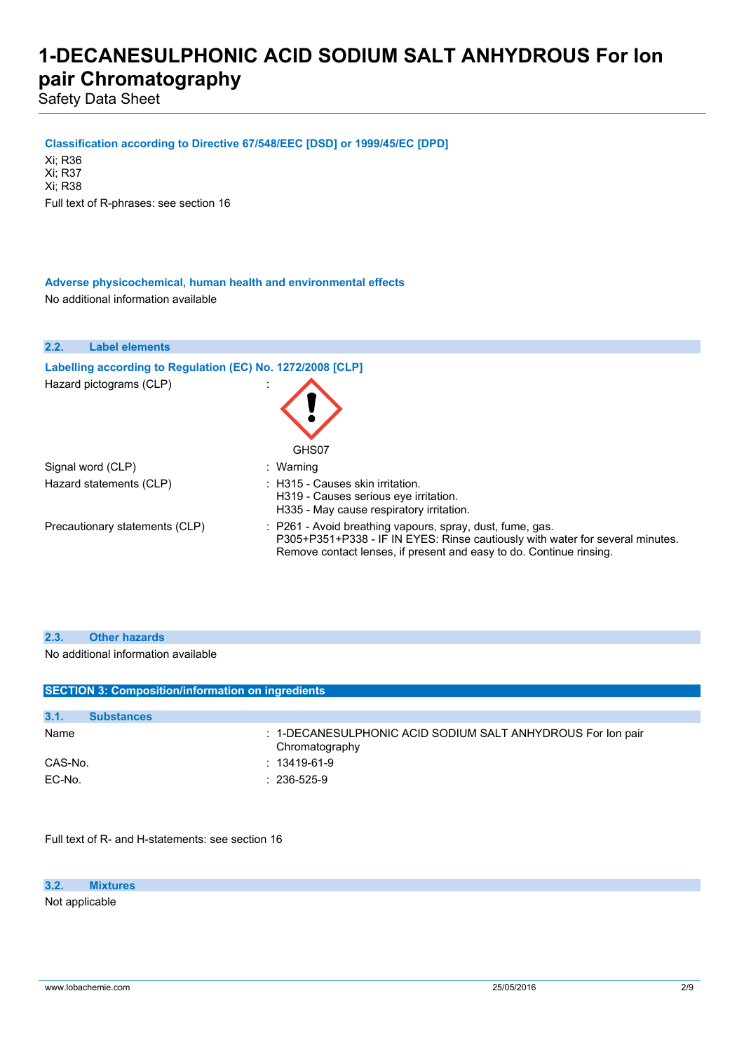Safety Data Sheet

**Classification according to Directive 67/548/EEC [DSD] or 1999/45/EC [DPD]**

Xi; R36 Xi; R37 Xi; R38 Full text of R-phrases: see section 16

**Adverse physicochemical, human health and environmental effects** No additional information available

| 2.2.<br><b>Label elements</b>                              |                                                                                                                                                                                                                   |
|------------------------------------------------------------|-------------------------------------------------------------------------------------------------------------------------------------------------------------------------------------------------------------------|
| Labelling according to Regulation (EC) No. 1272/2008 [CLP] |                                                                                                                                                                                                                   |
| Hazard pictograms (CLP)                                    | GHS07                                                                                                                                                                                                             |
| Signal word (CLP)                                          | : Warning                                                                                                                                                                                                         |
| Hazard statements (CLP)                                    | $\pm$ H315 - Causes skin irritation.<br>H319 - Causes serious eve irritation.<br>H335 - May cause respiratory irritation.                                                                                         |
| Precautionary statements (CLP)                             | : P261 - Avoid breathing vapours, spray, dust, fume, gas.<br>P305+P351+P338 - IF IN EYES: Rinse cautiously with water for several minutes.<br>Remove contact lenses, if present and easy to do. Continue rinsing. |

| 2.3.<br><b>Other hazards</b> |  |
|------------------------------|--|
|------------------------------|--|

No additional information available

| <b>SECTION 3: Composition/information on ingredients</b> |                   |                                                                               |
|----------------------------------------------------------|-------------------|-------------------------------------------------------------------------------|
|                                                          |                   |                                                                               |
| 3.1.                                                     | <b>Substances</b> |                                                                               |
| Name                                                     |                   | : 1-DECANESULPHONIC ACID SODIUM SALT ANHYDROUS For lon pair<br>Chromatography |
| CAS-No.                                                  |                   | $: 13419 - 61 - 9$                                                            |
| EC-No.                                                   |                   | $: 236 - 525 - 9$                                                             |

Full text of R- and H-statements: see section 16

#### **3.2. Mixtures**

Not applicable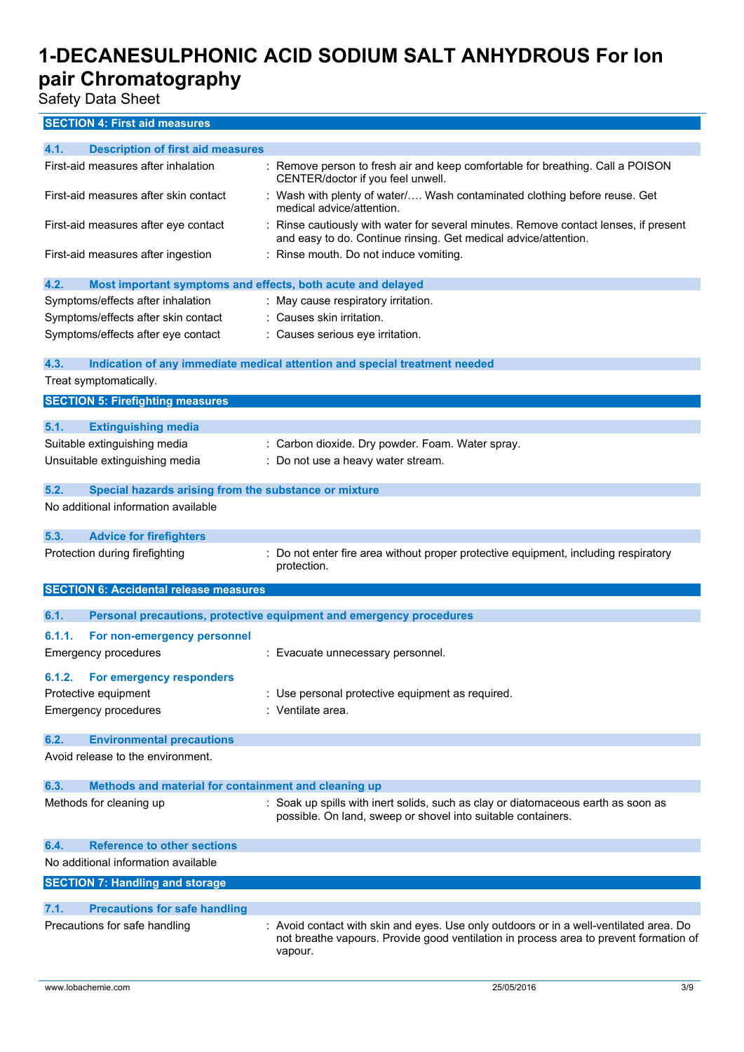Safety Data Sheet

| 4.1.<br><b>Description of first aid measures</b>                    |                                                                                                                                                       |
|---------------------------------------------------------------------|-------------------------------------------------------------------------------------------------------------------------------------------------------|
| First-aid measures after inhalation                                 | : Remove person to fresh air and keep comfortable for breathing. Call a POISON<br>CENTER/doctor if you feel unwell.                                   |
| First-aid measures after skin contact                               | : Wash with plenty of water/ Wash contaminated clothing before reuse. Get<br>medical advice/attention.                                                |
| First-aid measures after eye contact                                | Rinse cautiously with water for several minutes. Remove contact lenses, if present<br>and easy to do. Continue rinsing. Get medical advice/attention. |
| First-aid measures after ingestion                                  | : Rinse mouth. Do not induce vomiting.                                                                                                                |
| 4.2.<br>Most important symptoms and effects, both acute and delayed |                                                                                                                                                       |
| Symptoms/effects after inhalation                                   | May cause respiratory irritation.                                                                                                                     |
| Symptoms/effects after skin contact                                 | : Causes skin irritation.                                                                                                                             |
| Symptoms/effects after eye contact                                  | Causes serious eye irritation.                                                                                                                        |
| 4.3.                                                                | Indication of any immediate medical attention and special treatment needed                                                                            |
| Treat symptomatically.                                              |                                                                                                                                                       |
| <b>SECTION 5: Firefighting measures</b>                             |                                                                                                                                                       |
| 5.1.<br><b>Extinguishing media</b>                                  |                                                                                                                                                       |
| Suitable extinguishing media                                        | : Carbon dioxide. Dry powder. Foam. Water spray.                                                                                                      |
| Unsuitable extinguishing media                                      | Do not use a heavy water stream.                                                                                                                      |
|                                                                     |                                                                                                                                                       |
| 5.2.<br>Special hazards arising from the substance or mixture       |                                                                                                                                                       |
| No additional information available                                 |                                                                                                                                                       |
| 5.3.<br><b>Advice for firefighters</b>                              |                                                                                                                                                       |
| Protection during firefighting                                      | Do not enter fire area without proper protective equipment, including respiratory<br>protection.                                                      |
| <b>SECTION 6: Accidental release measures</b>                       |                                                                                                                                                       |
| 6.1.                                                                | Personal precautions, protective equipment and emergency procedures                                                                                   |
| 6.1.1.<br>For non-emergency personnel                               |                                                                                                                                                       |
| <b>Emergency procedures</b>                                         | : Evacuate unnecessary personnel.                                                                                                                     |
|                                                                     |                                                                                                                                                       |
| 6.1.2.<br>For emergency responders                                  |                                                                                                                                                       |
| Protective equipment                                                | Use personal protective equipment as required.                                                                                                        |
| Emergency procedures                                                | : Ventilate area.                                                                                                                                     |
| 6.2.<br><b>Environmental precautions</b>                            |                                                                                                                                                       |
| Avoid release to the environment.                                   |                                                                                                                                                       |
| 6.3.<br>Methods and material for containment and cleaning up        |                                                                                                                                                       |
| Methods for cleaning up                                             | : Soak up spills with inert solids, such as clay or diatomaceous earth as soon as                                                                     |
|                                                                     | possible. On land, sweep or shovel into suitable containers.                                                                                          |
| <b>Reference to other sections</b><br>6.4.                          |                                                                                                                                                       |
| No additional information available                                 |                                                                                                                                                       |
| <b>SECTION 7: Handling and storage</b>                              |                                                                                                                                                       |
| 7.1.<br><b>Precautions for safe handling</b>                        |                                                                                                                                                       |
| Precautions for safe handling                                       | : Avoid contact with skin and eyes. Use only outdoors or in a well-ventilated area. Do                                                                |
|                                                                     | not breathe vapours. Provide good ventilation in process area to prevent formation of<br>vapour.                                                      |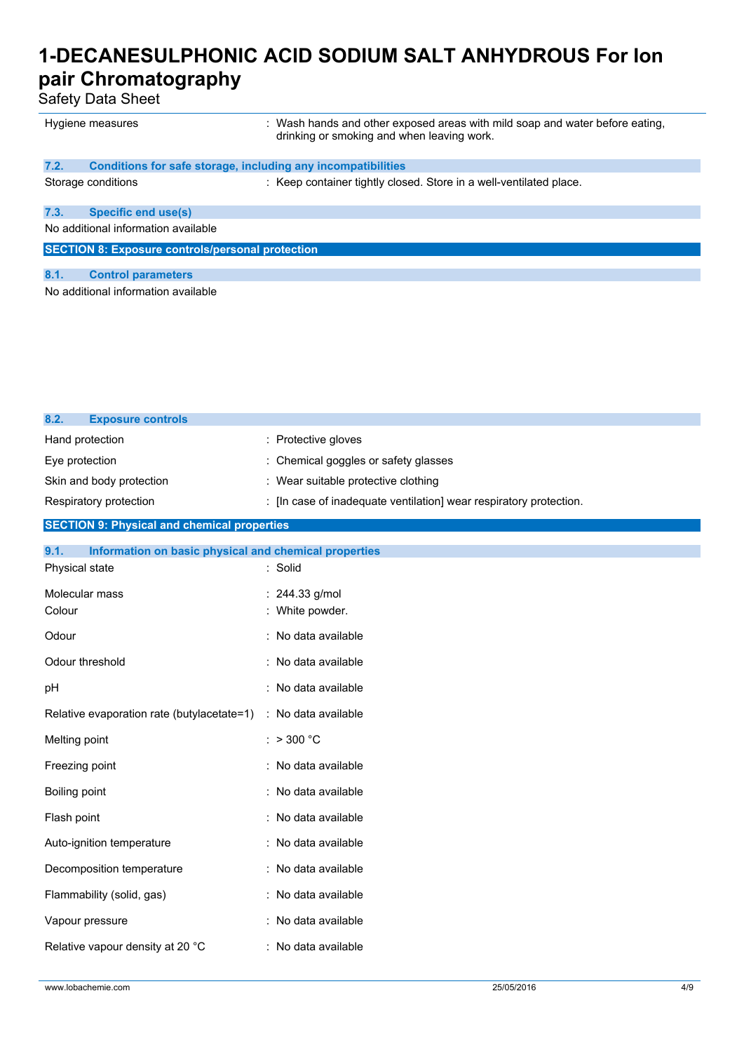Safety Data Sheet

| Hygiene measures                                        |                                                              | : Wash hands and other exposed areas with mild soap and water before eating.<br>drinking or smoking and when leaving work. |  |
|---------------------------------------------------------|--------------------------------------------------------------|----------------------------------------------------------------------------------------------------------------------------|--|
| 7.2.                                                    | Conditions for safe storage, including any incompatibilities |                                                                                                                            |  |
|                                                         | Storage conditions                                           | : Keep container tightly closed. Store in a well-ventilated place.                                                         |  |
| 7.3.                                                    | <b>Specific end use(s)</b>                                   |                                                                                                                            |  |
| No additional information available                     |                                                              |                                                                                                                            |  |
| <b>SECTION 8: Exposure controls/personal protection</b> |                                                              |                                                                                                                            |  |
| 8.1.                                                    | <b>Control parameters</b>                                    |                                                                                                                            |  |
| No additional information available                     |                                                              |                                                                                                                            |  |
|                                                         |                                                              |                                                                                                                            |  |
|                                                         |                                                              |                                                                                                                            |  |

| 8.2.<br><b>Exposure controls</b> |                                                                    |
|----------------------------------|--------------------------------------------------------------------|
| Hand protection                  | : Protective gloves                                                |
| Eye protection                   | : Chemical goggles or safety glasses                               |
| Skin and body protection         | : Wear suitable protective clothing                                |
| Respiratory protection           | : [In case of inadequate ventilation] wear respiratory protection. |

### **SECTION 9: Physical and chemical properties**

| 9.1.<br>Information on basic physical and chemical properties |                                   |
|---------------------------------------------------------------|-----------------------------------|
| Physical state                                                | : Solid                           |
| Molecular mass<br>Colour                                      | : 244.33 g/mol<br>: White powder. |
| Odour                                                         | : No data available               |
| Odour threshold                                               | : No data available               |
| pH                                                            | : No data available               |
| Relative evaporation rate (butylacetate=1)                    | : No data available               |
| Melting point                                                 | : $> 300 °C$                      |
| Freezing point                                                | : No data available               |
| Boiling point                                                 | : No data available               |
| Flash point                                                   | : No data available               |
| Auto-ignition temperature                                     | : No data available               |
| Decomposition temperature                                     | : No data available               |
| Flammability (solid, gas)                                     | : No data available               |
| Vapour pressure                                               | : No data available               |
| Relative vapour density at 20 °C                              | : No data available               |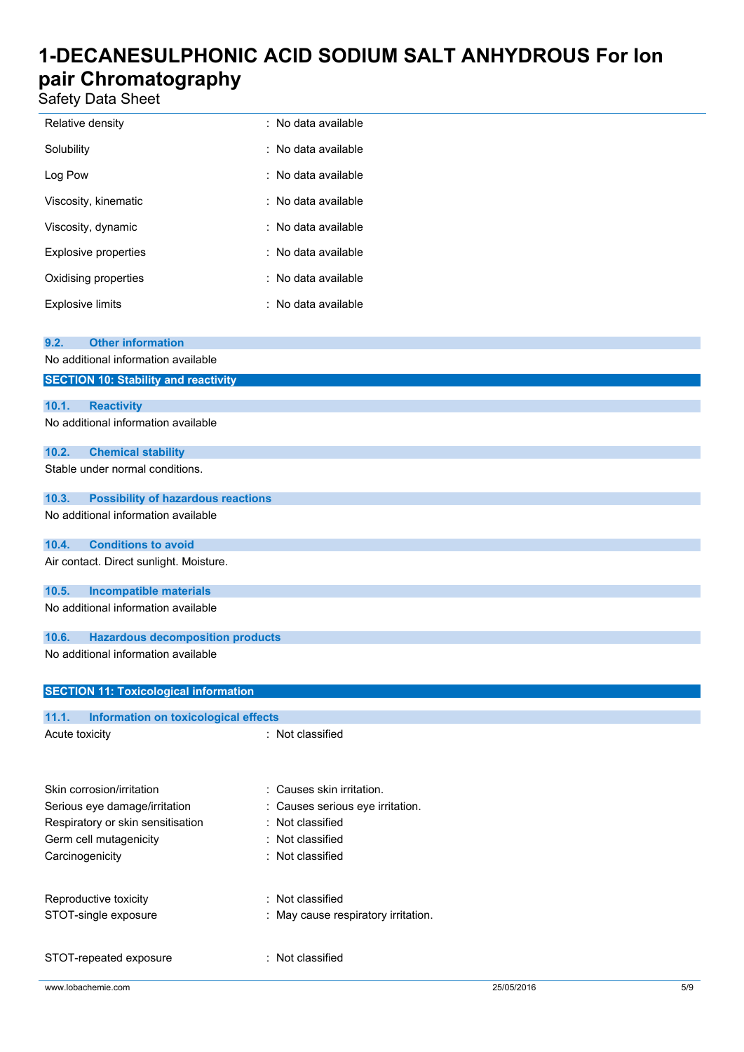Safety Data Sheet

| Relative density        | : No data available |
|-------------------------|---------------------|
| Solubility              | : No data available |
| Log Pow                 | : No data available |
| Viscosity, kinematic    | : No data available |
| Viscosity, dynamic      | : No data available |
| Explosive properties    | : No data available |
| Oxidising properties    | : No data available |
| <b>Explosive limits</b> | : No data available |

| 9.2.            | <b>Other information</b>                     |                                     |
|-----------------|----------------------------------------------|-------------------------------------|
|                 | No additional information available          |                                     |
|                 | <b>SECTION 10: Stability and reactivity</b>  |                                     |
|                 |                                              |                                     |
| 10.1.           | <b>Reactivity</b>                            |                                     |
|                 | No additional information available          |                                     |
| 10.2.           | <b>Chemical stability</b>                    |                                     |
|                 | Stable under normal conditions.              |                                     |
| 10.3.           | <b>Possibility of hazardous reactions</b>    |                                     |
|                 | No additional information available          |                                     |
| 10.4.           | <b>Conditions to avoid</b>                   |                                     |
|                 | Air contact. Direct sunlight. Moisture.      |                                     |
| 10.5.           | <b>Incompatible materials</b>                |                                     |
|                 | No additional information available          |                                     |
| 10.6.           | <b>Hazardous decomposition products</b>      |                                     |
|                 | No additional information available          |                                     |
|                 | <b>SECTION 11: Toxicological information</b> |                                     |
|                 |                                              |                                     |
| 11.1.           | Information on toxicological effects         |                                     |
| Acute toxicity  |                                              | : Not classified                    |
|                 |                                              |                                     |
|                 | Skin corrosion/irritation                    | : Causes skin irritation.           |
|                 | Serious eye damage/irritation                | Causes serious eye irritation.      |
|                 | Respiratory or skin sensitisation            | : Not classified                    |
|                 | Germ cell mutagenicity                       | : Not classified                    |
| Carcinogenicity |                                              | : Not classified                    |
|                 |                                              |                                     |
|                 | Reproductive toxicity                        | : Not classified                    |
|                 | STOT-single exposure                         | : May cause respiratory irritation. |
|                 |                                              |                                     |
|                 | STOT-repeated exposure                       | : Not classified                    |
|                 |                                              |                                     |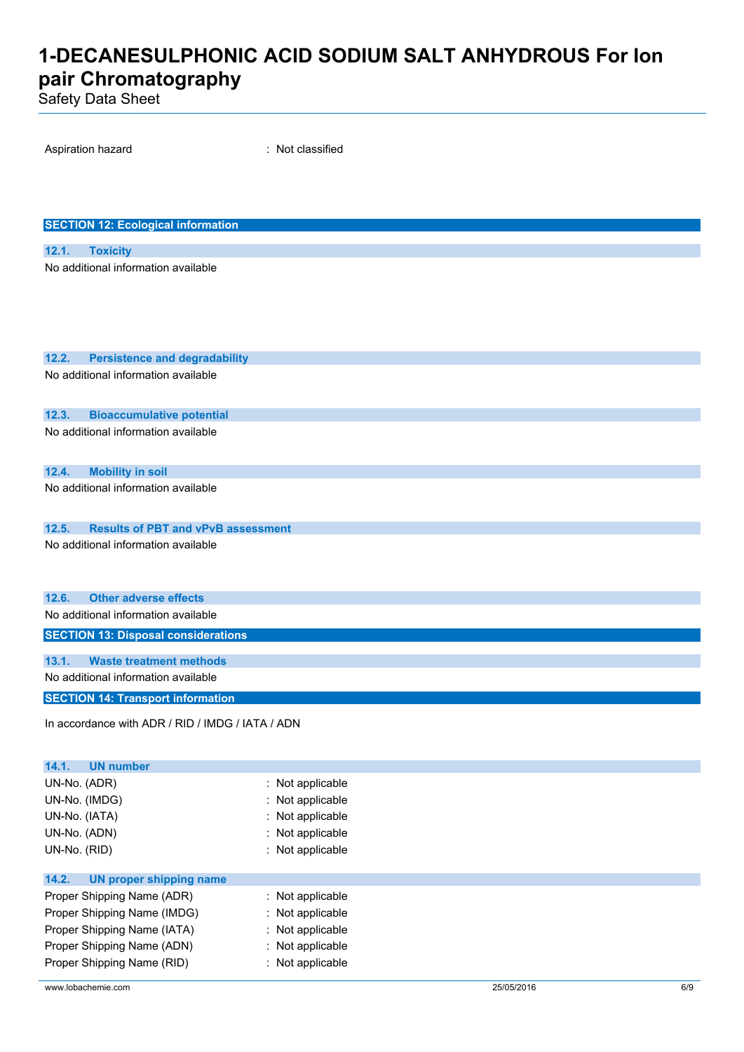Safety Data Sheet

| Aspiration hazard                                                                | : Not classified |
|----------------------------------------------------------------------------------|------------------|
|                                                                                  |                  |
|                                                                                  |                  |
|                                                                                  |                  |
| <b>SECTION 12: Ecological information</b>                                        |                  |
| 12.1.<br><b>Toxicity</b>                                                         |                  |
| No additional information available                                              |                  |
|                                                                                  |                  |
|                                                                                  |                  |
|                                                                                  |                  |
|                                                                                  |                  |
| <b>Persistence and degradability</b><br>12.2.                                    |                  |
| No additional information available                                              |                  |
|                                                                                  |                  |
| 12.3.<br><b>Bioaccumulative potential</b><br>No additional information available |                  |
|                                                                                  |                  |
|                                                                                  |                  |
| 12.4.<br><b>Mobility in soil</b><br>No additional information available          |                  |
|                                                                                  |                  |
| <b>Results of PBT and vPvB assessment</b><br>12.5.                               |                  |
| No additional information available                                              |                  |
|                                                                                  |                  |
|                                                                                  |                  |
| <b>Other adverse effects</b><br>12.6.                                            |                  |
| No additional information available                                              |                  |
| <b>SECTION 13: Disposal considerations</b>                                       |                  |
| <b>Waste treatment methods</b><br>13.1.                                          |                  |
| No additional information available                                              |                  |
| <b>SECTION 14: Transport information</b>                                         |                  |
| In accordance with ADR / RID / IMDG / IATA / ADN                                 |                  |
|                                                                                  |                  |
| 14.1.<br><b>UN number</b>                                                        |                  |
| UN-No. (ADR)                                                                     | : Not applicable |
| UN-No. (IMDG)                                                                    | Not applicable   |
| UN-No. (IATA)                                                                    | : Not applicable |
| UN-No. (ADN)                                                                     | Not applicable   |
| UN-No. (RID)                                                                     | : Not applicable |
| 14.2.<br><b>UN proper shipping name</b>                                          |                  |
| Proper Shipping Name (ADR)                                                       | : Not applicable |
| Proper Shipping Name (IMDG)                                                      | Not applicable   |
| Proper Shipping Name (IATA)                                                      | : Not applicable |

Proper Shipping Name (ADN) : Not applicable Proper Shipping Name (RID) : Not applicable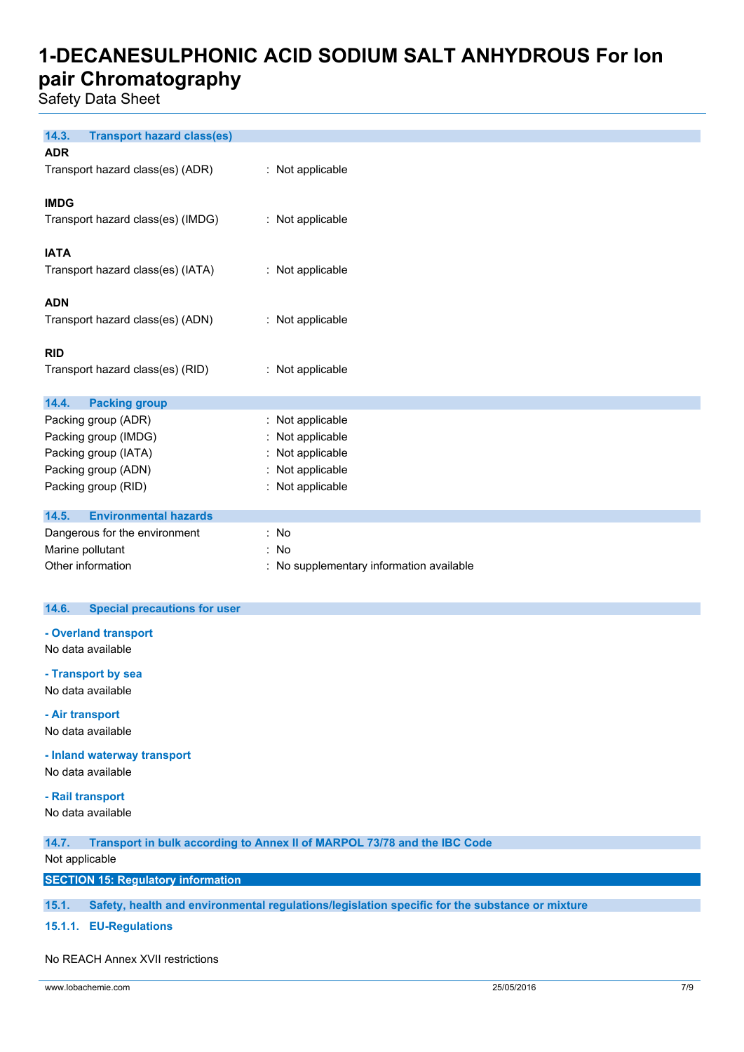Safety Data Sheet

| 14.3.<br><b>Transport hazard class(es)</b> |                                          |
|--------------------------------------------|------------------------------------------|
| <b>ADR</b>                                 |                                          |
| Transport hazard class(es) (ADR)           | : Not applicable                         |
|                                            |                                          |
| <b>IMDG</b>                                |                                          |
| Transport hazard class(es) (IMDG)          | : Not applicable                         |
|                                            |                                          |
| <b>IATA</b>                                |                                          |
| Transport hazard class(es) (IATA)          | : Not applicable                         |
|                                            |                                          |
| <b>ADN</b>                                 |                                          |
| Transport hazard class(es) (ADN)           | : Not applicable                         |
|                                            |                                          |
| <b>RID</b>                                 |                                          |
| Transport hazard class(es) (RID)           | : Not applicable                         |
|                                            |                                          |
| 14.4.<br><b>Packing group</b>              |                                          |
| Packing group (ADR)                        | : Not applicable                         |
| Packing group (IMDG)                       | : Not applicable                         |
| Packing group (IATA)                       | : Not applicable                         |
| Packing group (ADN)                        | : Not applicable                         |
| Packing group (RID)                        | : Not applicable                         |
|                                            |                                          |
| <b>Environmental hazards</b><br>14.5.      |                                          |
| Dangerous for the environment              | : No                                     |
| Marine pollutant                           | : No                                     |
| Other information                          | : No supplementary information available |

### **14.6. Special precautions for user**

**- Overland transport** No data available

**- Transport by sea**

No data available

**- Air transport** No data available

**- Inland waterway transport**

No data available

#### **- Rail transport**

No data available

**14.7. Transport in bulk according to Annex II of MARPOL 73/78 and the IBC Code**

### Not applicable

**SECTION 15: Regulatory information**

**15.1. Safety, health and environmental regulations/legislation specific for the substance or mixture**

**15.1.1. EU-Regulations**

#### No REACH Annex XVII restrictions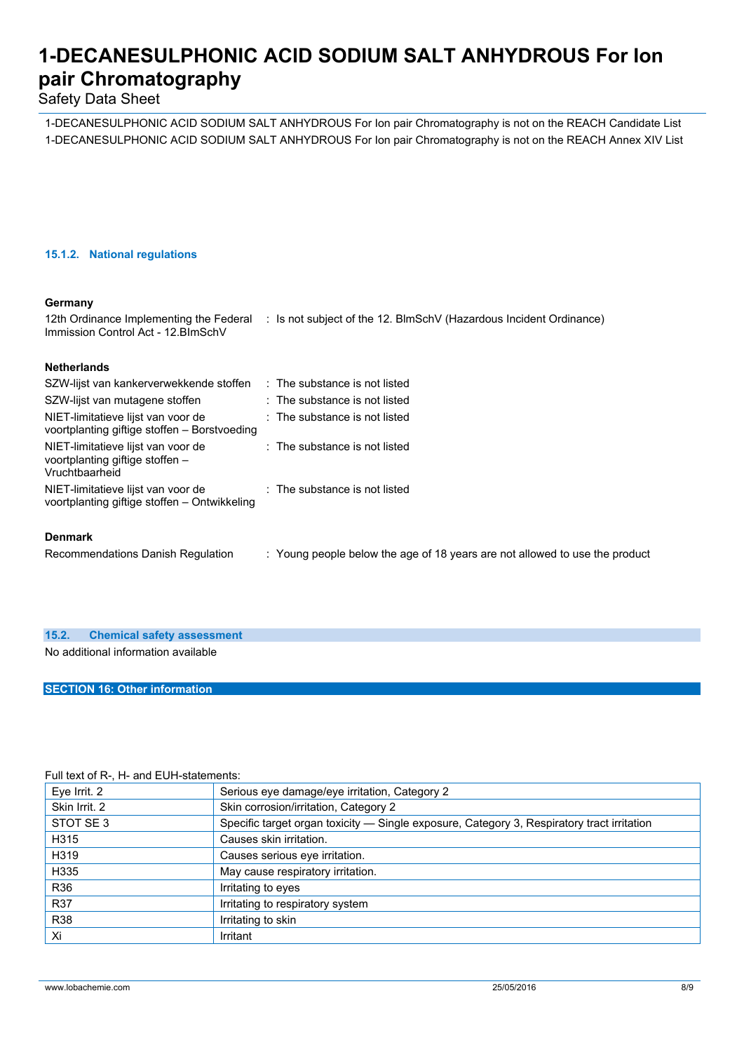### Safety Data Sheet

1-DECANESULPHONIC ACID SODIUM SALT ANHYDROUS For Ion pair Chromatography is not on the REACH Candidate List 1-DECANESULPHONIC ACID SODIUM SALT ANHYDROUS For Ion pair Chromatography is not on the REACH Annex XIV List

### **15.1.2. National regulations**

#### **Germany**

12th Ordinance Implementing the Federal : Is not subject of the 12. BlmSchV (Hazardous Incident Ordinance) Immission Control Act - 12.BImSchV

### **Netherlands**

| SZW-lijst van kankerverwekkende stoffen                                                 | $\therefore$ The substance is not listed |
|-----------------------------------------------------------------------------------------|------------------------------------------|
| SZW-lijst van mutagene stoffen                                                          | : The substance is not listed            |
| NIET-limitatieve lijst van voor de<br>voortplanting giftige stoffen – Borstvoeding      | $\therefore$ The substance is not listed |
| NIET-limitatieve lijst van voor de<br>voortplanting giftige stoffen –<br>Vruchtbaarheid | $\therefore$ The substance is not listed |
| NIET-limitatieve lijst van voor de<br>voortplanting giftige stoffen - Ontwikkeling      | $\therefore$ The substance is not listed |
| <b>Denmark</b>                                                                          |                                          |

Recommendations Danish Regulation : Young people below the age of 18 years are not allowed to use the product

**15.2. Chemical safety assessment**

No additional information available

### **SECTION 16: Other information**

#### Full text of R-, H- and EUH-statements:

| Eye Irrit. 2  | Serious eye damage/eye irritation, Category 2                                              |
|---------------|--------------------------------------------------------------------------------------------|
| Skin Irrit. 2 | Skin corrosion/irritation, Category 2                                                      |
| STOT SE3      | Specific target organ toxicity - Single exposure, Category 3, Respiratory tract irritation |
| H315          | Causes skin irritation.                                                                    |
| H319          | Causes serious eye irritation.                                                             |
| H335          | May cause respiratory irritation.                                                          |
| R36           | Irritating to eyes                                                                         |
| <b>R37</b>    | Irritating to respiratory system                                                           |
| <b>R38</b>    | Irritating to skin                                                                         |
| Xi            | Irritant                                                                                   |